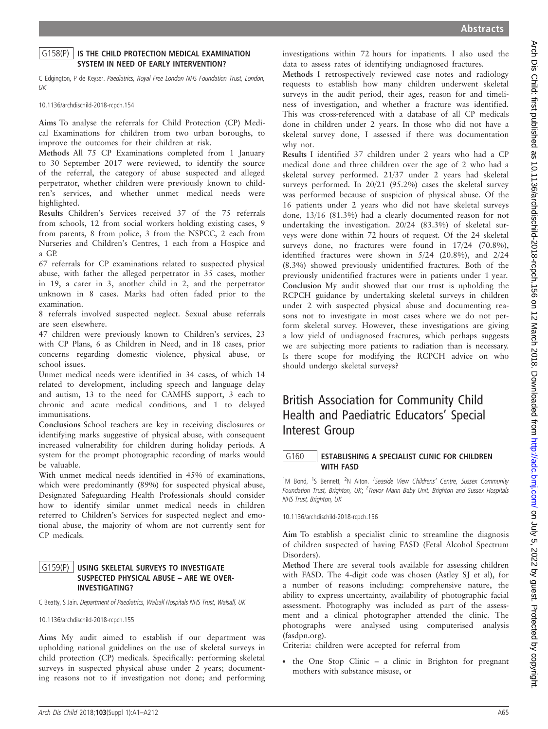# $G158(P)$  IS THE CHILD PROTECTION MEDICAL EXAMINATION SYSTEM IN NEED OF EARLY INTERVENTION?

C Edgington, P de Keyser. Paediatrics, Royal Free London NHS Foundation Trust, London, UK

#### 10.1136/archdischild-2018-rcpch.154

Aims To analyse the referrals for Child Protection (CP) Medical Examinations for children from two urban boroughs, to improve the outcomes for their children at risk.

Methods All 75 CP Examinations completed from 1 January to 30 September 2017 were reviewed, to identify the source of the referral, the category of abuse suspected and alleged perpetrator, whether children were previously known to children's services, and whether unmet medical needs were highlighted.

Results Children's Services received 37 of the 75 referrals from schools, 12 from social workers holding existing cases, 9 from parents, 8 from police, 3 from the NSPCC, 2 each from Nurseries and Children's Centres, 1 each from a Hospice and a GP.

67 referrals for CP examinations related to suspected physical abuse, with father the alleged perpetrator in 35 cases, mother in 19, a carer in 3, another child in 2, and the perpetrator unknown in 8 cases. Marks had often faded prior to the examination.

8 referrals involved suspected neglect. Sexual abuse referrals are seen elsewhere.

47 children were previously known to Children's services, 23 with CP Plans, 6 as Children in Need, and in 18 cases, prior concerns regarding domestic violence, physical abuse, or school issues.

Unmet medical needs were identified in 34 cases, of which 14 related to development, including speech and language delay and autism, 13 to the need for CAMHS support, 3 each to chronic and acute medical conditions, and 1 to delayed immunisations.

Conclusions School teachers are key in receiving disclosures or identifying marks suggestive of physical abuse, with consequent increased vulnerability for children during holiday periods. A system for the prompt photographic recording of marks would be valuable.

With unmet medical needs identified in 45% of examinations, which were predominantly (89%) for suspected physical abuse, Designated Safeguarding Health Professionals should consider how to identify similar unmet medical needs in children referred to Children's Services for suspected neglect and emotional abuse, the majority of whom are not currently sent for CP medicals.

### G159(P) USING SKELETAL SURVEYS TO INVESTIGATE SUSPECTED PHYSICAL ABUSE – ARE WE OVER-INVESTIGATING?

C Beatty, S Jain. Department of Paediatrics, Walsall Hospitals NHS Trust, Walsall, UK

10.1136/archdischild-2018-rcpch.155

Aims My audit aimed to establish if our department was upholding national guidelines on the use of skeletal surveys in child protection (CP) medicals. Specifically: performing skeletal surveys in suspected physical abuse under 2 years; documenting reasons not to if investigation not done; and performing

investigations within 72 hours for inpatients. I also used the data to assess rates of identifying undiagnosed fractures.

Methods I retrospectively reviewed case notes and radiology requests to establish how many children underwent skeletal surveys in the audit period, their ages, reason for and timeliness of investigation, and whether a fracture was identified. This was cross-referenced with a database of all CP medicals done in children under 2 years. In those who did not have a skeletal survey done, I assessed if there was documentation why not.

Results I identified 37 children under 2 years who had a CP medical done and three children over the age of 2 who had a skeletal survey performed. 21/37 under 2 years had skeletal surveys performed. In 20/21 (95.2%) cases the skeletal survey was performed because of suspicion of physical abuse. Of the 16 patients under 2 years who did not have skeletal surveys done, 13/16 (81.3%) had a clearly documented reason for not undertaking the investigation. 20/24 (83.3%) of skeletal surveys were done within 72 hours of request. Of the 24 skeletal surveys done, no fractures were found in  $17/24$  (70.8%), identified fractures were shown in 5/24 (20.8%), and 2/24 (8.3%) showed previously unidentified fractures. Both of the previously unidentified fractures were in patients under 1 year. Conclusion My audit showed that our trust is upholding the RCPCH guidance by undertaking skeletal surveys in children under 2 with suspected physical abuse and documenting reasons not to investigate in most cases where we do not perform skeletal survey. However, these investigations are giving a low yield of undiagnosed fractures, which perhaps suggests we are subjecting more patients to radiation than is necessary. Is there scope for modifying the RCPCH advice on who should undergo skeletal surveys?

# British Association for Community Child Health and Paediatric Educators' Special Interest Group

### G160 | ESTABLISHING A SPECIALIST CLINIC FOR CHILDREN WITH FASD

<sup>1</sup>M Bond, <sup>1</sup>S Bennett, <sup>2</sup>N Aiton. <sup>1</sup>Seaside View Childrens' Centre, Sussex Community Foundation Trust, Brighton, UK; <sup>2</sup>Trevor Mann Baby Unit, Brighton and Sussex Hospitals NHS Trust, Brighton, UK

10.1136/archdischild-2018-rcpch.156

Aim To establish a specialist clinic to streamline the diagnosis of children suspected of having FASD (Fetal Alcohol Spectrum Disorders).

Method There are several tools available for assessing children with FASD. The 4-digit code was chosen (Astley SJ et al), for a number of reasons including: comprehensive nature, the ability to express uncertainty, availability of photographic facial assessment. Photography was included as part of the assessment and a clinical photographer attended the clinic. The photographs were analysed using computerised analysis (fasdpn.org).

Criteria: children were accepted for referral from

. the One Stop Clinic – a clinic in Brighton for pregnant mothers with substance misuse, or